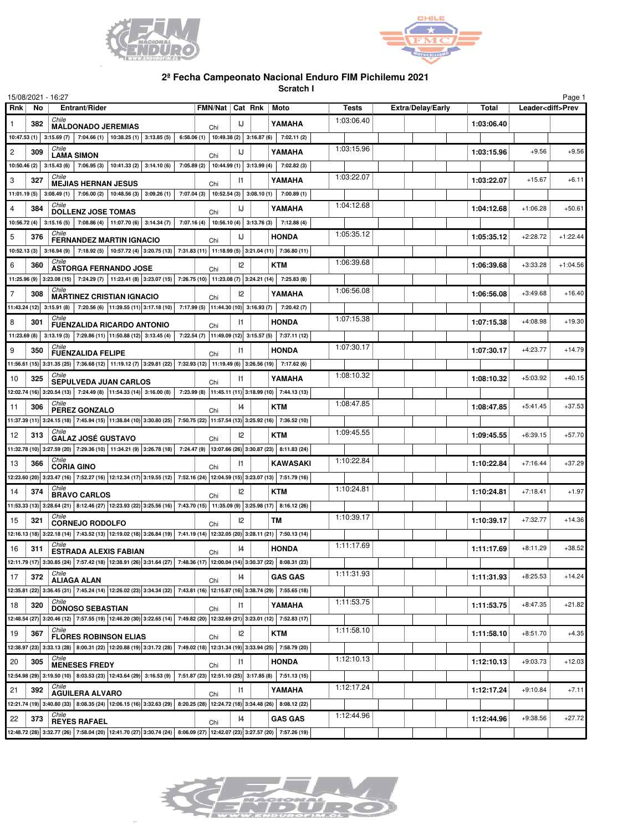



## **2ª Fecha Campeonato Nacional Enduro FIM Pichilemu 2021**

**Scratch I**

| 15/08/2021 - 16:27<br>Page 1 |     |                                                                                                                                                                                                                                                                                                                                                                                                                           |                                                    |               |  |                 |              |                          |            |                          |            |  |
|------------------------------|-----|---------------------------------------------------------------------------------------------------------------------------------------------------------------------------------------------------------------------------------------------------------------------------------------------------------------------------------------------------------------------------------------------------------------------------|----------------------------------------------------|---------------|--|-----------------|--------------|--------------------------|------------|--------------------------|------------|--|
| <b>Rnk</b>                   | No  | Entrant/Rider                                                                                                                                                                                                                                                                                                                                                                                                             | FMN/Nat   Cat Rnk   Moto                           |               |  |                 | <b>Tests</b> | <b>Extra/Delay/Early</b> | Total      | Leader <diff>Prev</diff> |            |  |
| 1                            | 382 | Chile<br><b>MALDONADO JEREMIAS</b>                                                                                                                                                                                                                                                                                                                                                                                        | Chi                                                | IJ            |  | YAMAHA          | 1:03:06.40   |                          | 1:03:06.40 |                          |            |  |
|                              |     | 10:47.53 (1) 3:15.69 (7) 7:04.66 (1) 10:38.25 (1) 3:13.85 (5) 6:58.06 (1) 10:49.38 (2) 3:16.87 (6)                                                                                                                                                                                                                                                                                                                        |                                                    |               |  | 7:02.11(2)      |              |                          |            |                          |            |  |
| $\overline{c}$               | 309 | Chile<br><b>LAMA SIMON</b>                                                                                                                                                                                                                                                                                                                                                                                                | Chi                                                | IJ            |  | YAMAHA          | 1:03:15.96   |                          | 1:03:15.96 | $+9.56$                  | $+9.56$    |  |
|                              |     | 10:50.46 (2) 3:15.43 (6) 7:06.95 (3) 10:41.33 (2) 3:14.10 (6) 7:05.89 (2) 10:44.99 (1) 3:13.99 (4)                                                                                                                                                                                                                                                                                                                        |                                                    |               |  | 7:02.82 (3)     |              |                          |            |                          |            |  |
| 3                            | 327 | Chile<br><b>MEJIAS HERNAN JESUS</b>                                                                                                                                                                                                                                                                                                                                                                                       |                                                    | 11            |  | YAMAHA          | 1:03:22.07   |                          | 1:03:22.07 | $+15.67$                 | $+6.11$    |  |
|                              |     | 11:01.19 (5) 3:08.49 (1) 7:06.00 (2) 10:48.56 (3) 3:09.26 (1)                                                                                                                                                                                                                                                                                                                                                             | Chi<br>$7:07.04(3)$ 10:52.54 (3) 3:08.10 (1)       |               |  | 7:00.89(1)      |              |                          |            |                          |            |  |
| $\overline{4}$               | 384 | Chile                                                                                                                                                                                                                                                                                                                                                                                                                     |                                                    | IJ            |  | YAMAHA          | 1:04:12.68   |                          | 1:04:12.68 | $+1:06.28$               | $+50.61$   |  |
|                              |     | <b>DOLLENZ JOSE TOMAS</b><br>$10:56.72(4)$ 3:15.16 (5) 7:08.86 (4) 11:07.70 (6) 3:14.34 (7) 7:07.16 (4) 10:56.10 (4) 3:13.76 (3) 7:12.88 (4)                                                                                                                                                                                                                                                                              | Chi                                                |               |  |                 |              |                          |            |                          |            |  |
| 5                            | 376 | Chile                                                                                                                                                                                                                                                                                                                                                                                                                     |                                                    | IJ            |  | <b>HONDA</b>    | 1:05:35.12   |                          | 1:05:35.12 | $+2:28.72$               | $+1:22.44$ |  |
|                              |     | <b>FERNANDEZ MARTIN IGNACIO</b><br>10:52.13 (3) 3:16.94 (9) 7:18.92 (5) 10:57.72 (4) 3:20.75 (13) 7:31.83 (11) 11:18.99 (5) 3:21.04 (11) 7:36.80 (11)                                                                                                                                                                                                                                                                     | Chi                                                |               |  |                 |              |                          |            |                          |            |  |
| 6                            | 360 | Chile                                                                                                                                                                                                                                                                                                                                                                                                                     |                                                    | $\mathsf{I2}$ |  | <b>KTM</b>      | 1:06:39.68   |                          | 1:06:39.68 | $+3:33.28$               | $+1:04.56$ |  |
|                              |     | <b>ASTORGA FERNANDO JOSE</b><br>11:25.96 (9) 3:23.08 (15) 7:24.29 (7) 11:23.41 (8) 3:23.07 (15) 7:26.75 (10) 11:23.08 (7) 3:24.21 (14) 7:25.83 (8)                                                                                                                                                                                                                                                                        | Chi                                                |               |  |                 |              |                          |            |                          |            |  |
|                              |     | Chile                                                                                                                                                                                                                                                                                                                                                                                                                     |                                                    |               |  |                 | 1:06:56.08   |                          |            |                          |            |  |
| 7                            | 308 | <b>MARTINEZ CRISTIAN IGNACIO</b>                                                                                                                                                                                                                                                                                                                                                                                          | Chi                                                | 12            |  | YAMAHA          |              |                          | 1:06:56.08 | $+3:49.68$               | $+16.40$   |  |
|                              |     | 11:43.24 (12) 3:15.91 (8) 7:20.56 (6) 11:39.55 (11) 3:17.18 (10) 7:17.99 (5) 11:44.30 (10) 3:16.93 (7)  <br>Chile                                                                                                                                                                                                                                                                                                         |                                                    |               |  | 7:20.42 (7)     | 1:07:15.38   |                          |            |                          |            |  |
| 8                            | 301 | <b>FUENZALIDA RICARDO ANTONIO</b>                                                                                                                                                                                                                                                                                                                                                                                         | Chi                                                | $\mathsf{I}$  |  | <b>HONDA</b>    |              |                          | 1:07:15.38 | $+4:08.98$               | $+19.30$   |  |
|                              |     | 11:23.69 (8) 3:13.19 (3) 7:29.86 (11) 11:50.88 (12) 3:13.45 (4)                                                                                                                                                                                                                                                                                                                                                           | 7:22.54 (7) 11:49.09 (12) 3:15.57 (5) 7:37.11 (12) |               |  |                 |              |                          |            |                          |            |  |
| 9                            | 350 | Chile<br>FUENZALIDA FELIPE                                                                                                                                                                                                                                                                                                                                                                                                | Chi                                                | 11            |  | <b>HONDA</b>    | 1:07:30.17   |                          | 1:07:30.17 | $+4:23.77$               | $+14.79$   |  |
|                              |     | 11:56.61 (15) 3:31.35 (25) 7:36.68 (12) 11:19.12 (7) 3:29.81 (22) 7:32.93 (12) 11:19.49 (6) 3:26.56 (19) 7:17.62 (6)                                                                                                                                                                                                                                                                                                      |                                                    |               |  |                 |              |                          |            |                          |            |  |
| 10                           | 325 | Chile<br><b>SEPULVEDA JUAN CARLOS</b>                                                                                                                                                                                                                                                                                                                                                                                     | Chi                                                | $\mathsf{I}$  |  | YAMAHA          | 1:08:10.32   |                          | 1:08:10.32 | $+5:03.92$               | $+40.15$   |  |
|                              |     | 12:02.74 (16) 3:20.54 (13) 7:24.49 (8) 11:54.33 (14) 3:16.00 (8) 7:23.99 (8) 11:45.11 (11) 3:18.99 (10) 7:44.13 (13)                                                                                                                                                                                                                                                                                                      |                                                    |               |  |                 |              |                          |            |                          |            |  |
| 11                           | 306 | Chile<br>PEREZ GONZALO                                                                                                                                                                                                                                                                                                                                                                                                    | Chi                                                | 14            |  | <b>KTM</b>      | 1:08:47.85   |                          | 1:08:47.85 | $+5:41.45$               | $+37.53$   |  |
|                              |     | 11:37.39 (11) 3:24.15 (18) 7:45.94 (15) 11:38.84 (10) 3:30.80 (25) 7:50.75 (22) 11:57.54 (13) 3:25.92 (16) 7:36.52 (10)                                                                                                                                                                                                                                                                                                   |                                                    |               |  |                 |              |                          |            |                          |            |  |
| 12                           | 313 | Chile<br><b>GALAZ JOSÉ GUSTAVO</b>                                                                                                                                                                                                                                                                                                                                                                                        | Chi                                                | 2             |  | <b>KTM</b>      | 1:09:45.55   |                          | 1:09:45.55 | $+6:39.15$               | $+57.70$   |  |
|                              |     | 11:32.78 (10) 3:27.59 (20) 7:29.36 (10) 11:34.21 (9) 3:26.78 (18) 7:24.47 (9) 13:07.66 (26) 3:30.87 (23) 8:11.83 (24)                                                                                                                                                                                                                                                                                                     |                                                    |               |  |                 |              |                          |            |                          |            |  |
| 13                           | 366 | Chile<br><b>CORIA GINO</b>                                                                                                                                                                                                                                                                                                                                                                                                |                                                    | 11            |  | <b>KAWASAKI</b> | 1:10:22.84   |                          | 1:10:22.84 | $+7:16.44$               | $+37.29$   |  |
|                              |     | 12:23.60 (20) 3:23.47 (16) 7:52.27 (16) 12:12.34 (17) 3:19.55 (12) 7:52.16 (24) 12:04.59 (15) 3:23.07 (13) 7:51.79 (16)                                                                                                                                                                                                                                                                                                   | Chi                                                |               |  |                 |              |                          |            |                          |            |  |
| 14                           | 374 | Chile                                                                                                                                                                                                                                                                                                                                                                                                                     |                                                    | $\mathsf{I2}$ |  | <b>KTM</b>      | 1:10:24.81   |                          | 1:10:24.81 | $+7:18.41$               | $+1.97$    |  |
|                              |     | <b>BRAVO CARLOS</b><br>$11:53.33$ (13) 3:26.64 (21) 8:12.46 (27) 12:23.93 (22) 3:25.56 (16) 7:43.70 (15) 11:35.09 (9) 3:25.98 (17) 8:16.12 (26)                                                                                                                                                                                                                                                                           | Chi                                                |               |  |                 |              |                          |            |                          |            |  |
| 15                           | 321 | Chile                                                                                                                                                                                                                                                                                                                                                                                                                     |                                                    | $\mathsf{I2}$ |  | <b>TM</b>       | 1:10:39.17   |                          | 1:10:39.17 | $+7:32.77$               | $+14.36$   |  |
|                              |     | <b>CORNEJO RODOLFO</b><br>12:16.13 (18) 3:22.18 (14) 7:43.52 (13) 12:19.02 (18) 3:26.84 (19) 7:41.19 (14) 12:32.05 (20) 3:28.11 (21) 7:50.13 (14)                                                                                                                                                                                                                                                                         | Chi                                                |               |  |                 |              |                          |            |                          |            |  |
|                              |     | Chile                                                                                                                                                                                                                                                                                                                                                                                                                     |                                                    |               |  |                 | 1:11:17.69   |                          |            |                          |            |  |
| 16                           | 311 | <b>ESTRADA ALEXIS FABIAN</b>                                                                                                                                                                                                                                                                                                                                                                                              | Chi                                                | 14            |  | <b>HONDA</b>    |              |                          | 1:11:17.69 | $+8:11.29$               | $+38.52$   |  |
|                              |     | $\left  \right. 12:11.79 \left(17\right)\left  \right. 3:30.85 \left(24\right)\left  \right. 7:57.42 \left(18\right)\left  \right. 12:38.91 \left(26\right)\left  \right. 3:31.64 \left(27\right)\left  \right. 7:48.36 \left(17\right)\left  \right. 12:00.04 \left(14\right)\left  \right. 3:30.37 \left(22\right)\left  \right. 8:08.31 \left(23\right)\left  \right. 12:00.04 \left(14\right)\left  \right.$<br>Chile |                                                    |               |  |                 | 1:11:31.93   |                          |            |                          |            |  |
| 17                           | 372 | <b>ALIAGA ALAN</b>                                                                                                                                                                                                                                                                                                                                                                                                        | Chi                                                | 14            |  | <b>GAS GAS</b>  |              |                          | 1:11:31.93 | $+8:25.53$               | $+14.24$   |  |
|                              |     | 12:35.81 (22) 3:36.45 (31) 7:45.24 (14) 12:26.02 (23) 3:34.34 (32) 7:43.81 (16) 12:15.87 (16) 3:38.74 (29) 7:55.65 (18)                                                                                                                                                                                                                                                                                                   |                                                    |               |  |                 |              |                          |            |                          |            |  |
| 18                           | 320 | Chile<br><b>DONOSO SEBASTIAN</b>                                                                                                                                                                                                                                                                                                                                                                                          | Chi                                                | 1             |  | YAMAHA          | 1:11:53.75   |                          | 1:11:53.75 | $+8:47.35$               | $+21.82$   |  |
|                              |     | 12:48.54 (27) 3:20.46 (12) 7:57.55 (19) 12:46.20 (30) 3:22.65 (14) 7:49.82 (20) 12:32.69 (21) 3:23.01 (12) 7:52.83 (17)                                                                                                                                                                                                                                                                                                   |                                                    |               |  |                 |              |                          |            |                          |            |  |
| 19                           | 367 | Chile<br><b>FLORES ROBINSON ELIAS</b>                                                                                                                                                                                                                                                                                                                                                                                     | Chi                                                | 12            |  | <b>KTM</b>      | 1:11:58.10   |                          | 1:11:58.10 | $+8:51.70$               | $+4.35$    |  |
|                              |     | 12:38.97 (23) 3:33.13 (28) 8:00.31 (22) 12:20.88 (19) 3:31.72 (28) 7:49.02 (18) 12:31.34 (19) 3:33.94 (25) 7:58.79 (20)                                                                                                                                                                                                                                                                                                   |                                                    |               |  |                 |              |                          |            |                          |            |  |
| 20                           | 305 | Chile<br><b>MENESES FREDY</b>                                                                                                                                                                                                                                                                                                                                                                                             | Chi                                                | $\vert$ 1     |  | <b>HONDA</b>    | 1:12:10.13   |                          | 1:12:10.13 | $+9:03.73$               | $+12.03$   |  |
|                              |     | 12:54.98 (29) 3:19.50 (10) 8:03.53 (23) 12:43.64 (29) 3:16.53 (9) 7:51.87 (23) 12:51.10 (25) 3:17.85 (8) 7:51.13 (15)                                                                                                                                                                                                                                                                                                     |                                                    |               |  |                 |              |                          |            |                          |            |  |
| 21                           | 392 | Chile<br><b>AGUILERA ALVARO</b>                                                                                                                                                                                                                                                                                                                                                                                           |                                                    | $\vert$ 1     |  | YAMAHA          | 1:12:17.24   |                          | 1:12:17.24 | $+9:10.84$               | $+7.11$    |  |
|                              |     | 12:21.74 (19) 3:40.80 (33) 8:08.35 (24) 12:06.15 (16) 3:32.63 (29) 8:20.25 (28) 12:24.72 (18) 3:34.48 (26) 8:08.12 (22)                                                                                                                                                                                                                                                                                                   | Chi                                                |               |  |                 |              |                          |            |                          |            |  |
| 22                           | 373 | Chile                                                                                                                                                                                                                                                                                                                                                                                                                     |                                                    | 14            |  | <b>GAS GAS</b>  | 1:12:44.96   |                          | 1:12:44.96 | $+9:38.56$               | $+27.72$   |  |
|                              |     | <b>REYES RAFAEL</b><br>12:48.72 (28) 3:32.77 (26) 7:58.04 (20) 12:41.70 (27) 3:30.74 (24) 8:06.09 (27) 12:42.07 (23) 3:27.57 (20) 7:57.26 (19)                                                                                                                                                                                                                                                                            | Chi                                                |               |  |                 |              |                          |            |                          |            |  |
|                              |     |                                                                                                                                                                                                                                                                                                                                                                                                                           |                                                    |               |  |                 |              |                          |            |                          |            |  |